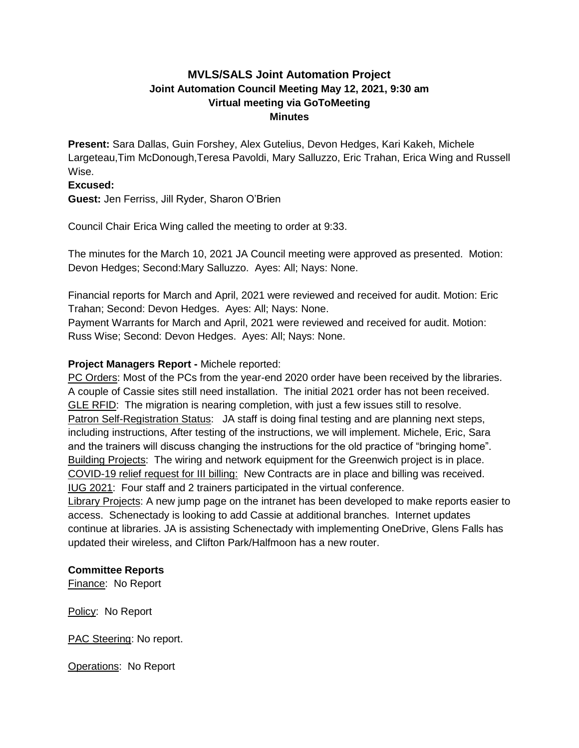# **MVLS/SALS Joint Automation Project Joint Automation Council Meeting May 12, 2021, 9:30 am Virtual meeting via GoToMeeting Minutes**

**Present:** Sara Dallas, Guin Forshey, Alex Gutelius, Devon Hedges, Kari Kakeh, Michele Largeteau,Tim McDonough,Teresa Pavoldi, Mary Salluzzo, Eric Trahan, Erica Wing and Russell Wise.

#### **Excused:**

**Guest:** Jen Ferriss, Jill Ryder, Sharon O'Brien

Council Chair Erica Wing called the meeting to order at 9:33.

The minutes for the March 10, 2021 JA Council meeting were approved as presented. Motion: Devon Hedges; Second:Mary Salluzzo. Ayes: All; Nays: None.

Financial reports for March and April, 2021 were reviewed and received for audit. Motion: Eric Trahan; Second: Devon Hedges. Ayes: All; Nays: None.

Payment Warrants for March and April, 2021 were reviewed and received for audit. Motion: Russ Wise; Second: Devon Hedges. Ayes: All; Nays: None.

# **Project Managers Report -** Michele reported:

PC Orders: Most of the PCs from the year-end 2020 order have been received by the libraries. A couple of Cassie sites still need installation. The initial 2021 order has not been received. GLE RFID: The migration is nearing completion, with just a few issues still to resolve. Patron Self-Registration Status: JA staff is doing final testing and are planning next steps, including instructions, After testing of the instructions, we will implement. Michele, Eric, Sara and the trainers will discuss changing the instructions for the old practice of "bringing home". Building Projects: The wiring and network equipment for the Greenwich project is in place. COVID-19 relief request for III billing: New Contracts are in place and billing was received. IUG 2021: Four staff and 2 trainers participated in the virtual conference.

Library Projects: A new jump page on the intranet has been developed to make reports easier to access. Schenectady is looking to add Cassie at additional branches. Internet updates continue at libraries. JA is assisting Schenectady with implementing OneDrive, Glens Falls has updated their wireless, and Clifton Park/Halfmoon has a new router.

# **Committee Reports**

Finance: No Report

Policy: No Report

PAC Steering: No report.

Operations: No Report